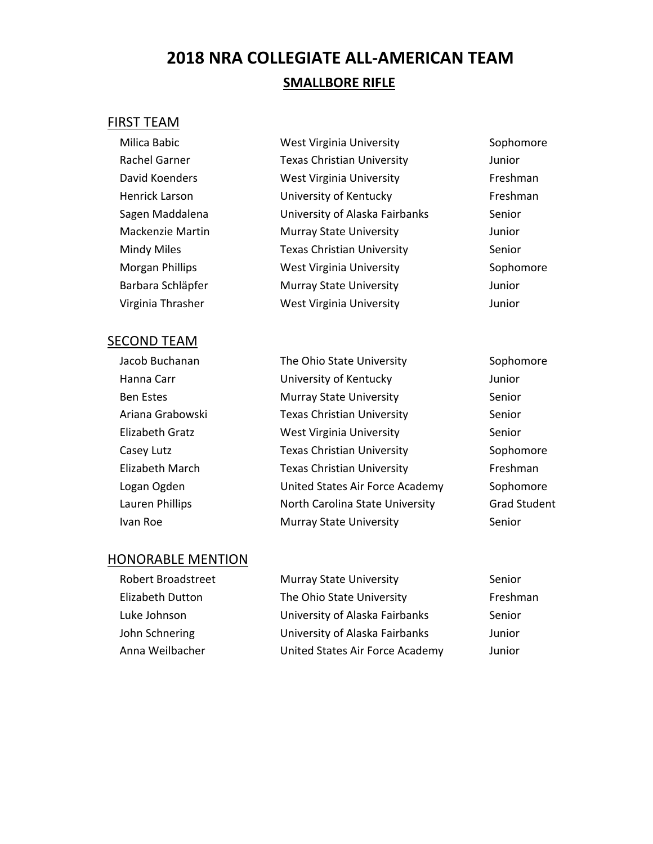# **2018 NRA COLLEGIATE ALL‐AMERICAN TEAM SMALLBORE RIFLE**

#### FIRST TEAM

| Milica Babic           | <b>West Virginia University</b>   | Sopho  |
|------------------------|-----------------------------------|--------|
| Rachel Garner          | <b>Texas Christian University</b> | Junior |
| David Koenders         | <b>West Virginia University</b>   | Freshn |
| Henrick Larson         | University of Kentucky            | Freshn |
| Sagen Maddalena        | University of Alaska Fairbanks    | Senior |
| Mackenzie Martin       | <b>Murray State University</b>    | Junior |
| Mindy Miles            | <b>Texas Christian University</b> | Senior |
| <b>Morgan Phillips</b> | West Virginia University          | Sopho  |
| Barbara Schläpfer      | <b>Murray State University</b>    | Junior |
| Virginia Thrasher      | <b>West Virginia University</b>   | Junior |

#### SECOND TEAM

| Jacob Buchanan   | The Ohio State University         | Sopho  |
|------------------|-----------------------------------|--------|
| Hanna Carr       | University of Kentucky            | Junior |
| <b>Ben Estes</b> | <b>Murray State University</b>    | Senior |
| Ariana Grabowski | <b>Texas Christian University</b> | Senior |
| Elizabeth Gratz  | <b>West Virginia University</b>   | Senior |
| Casey Lutz       | <b>Texas Christian University</b> | Sopho  |
| Elizabeth March  | <b>Texas Christian University</b> | Freshr |
| Logan Ogden      | United States Air Force Academy   | Sopho  |
| Lauren Phillips  | North Carolina State University   | Grad S |
| Ivan Roe         | <b>Murray State University</b>    | Senior |

t Virginia University **Sophomore** Rachel Garner Texas Christian University Junior t Virginia University **Example 20 Freshman** ersity of Kentucky Freshman ersity of Alaska Fairbanks Senior Mackenzie Martin Murray State University Junior s Christian University **Senior** Senior t Virginia University **Morgan Exercise Sophomore** Para State University **State University** Junior

> Sophomore Sophomore Freshman emy Sophomore ity Grad Student

| <b>Robert Broadstreet</b> | <b>Murray State University</b>  | Senior   |
|---------------------------|---------------------------------|----------|
| <b>Elizabeth Dutton</b>   | The Ohio State University       | Freshman |
| Luke Johnson              | University of Alaska Fairbanks  | Senior   |
| John Schnering            | University of Alaska Fairbanks  | Junior   |
| Anna Weilbacher           | United States Air Force Academy | Junior   |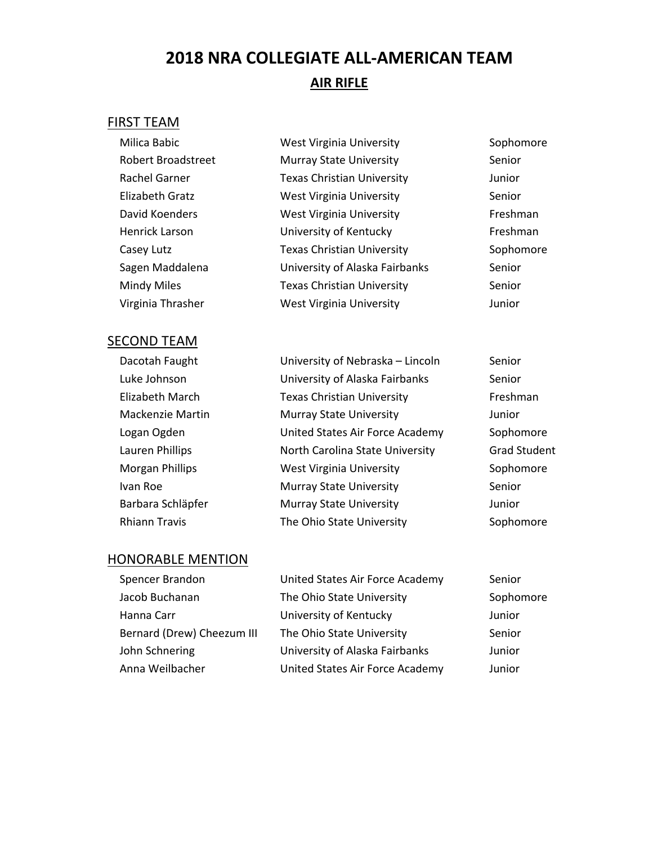# **2018 NRA COLLEGIATE ALL‐AMERICAN TEAM AIR RIFLE**

#### FIRST TEAM

Milica Babic **Milica Babic** West Virginia University **Sophomore** Robert Broadstreet Murray State University Senior Rachel Garner Texas Christian University Funior Elizabeth Gratz **West Virginia University** Senior David Koenders **West Virginia University** Freshman Henrick Larson **Example 20** University of Kentucky Freshman Casey Lutz **Texas Christian University** Sophomore Sagen Maddalena **Sagen Maddalena** University of Alaska Fairbanks Senior Mindy Miles Texas Christian University Senior Virginia Thrasher West Virginia University Junior

## **SECOND TEAM**

| ECUND TEAIVI            |                                   |                     |
|-------------------------|-----------------------------------|---------------------|
| Dacotah Faught          | University of Nebraska - Lincoln  | Senior              |
| Luke Johnson            | University of Alaska Fairbanks    | Senior              |
| Elizabeth March         | <b>Texas Christian University</b> | Freshman            |
| <b>Mackenzie Martin</b> | <b>Murray State University</b>    | Junior              |
| Logan Ogden             | United States Air Force Academy   | Sophomore           |
| Lauren Phillips         | North Carolina State University   | <b>Grad Student</b> |
| <b>Morgan Phillips</b>  | West Virginia University          | Sophomore           |
| Ivan Roe                | <b>Murray State University</b>    | Senior              |
| Barbara Schläpfer       | <b>Murray State University</b>    | Junior              |
| <b>Rhiann Travis</b>    | The Ohio State University         | Sophomore           |

| Spencer Brandon            | United States Air Force Academy | Senior    |
|----------------------------|---------------------------------|-----------|
| Jacob Buchanan             | The Ohio State University       | Sophomore |
| Hanna Carr                 | University of Kentucky          | Junior    |
| Bernard (Drew) Cheezum III | The Ohio State University       | Senior    |
| John Schnering             | University of Alaska Fairbanks  | Junior    |
| Anna Weilbacher            | United States Air Force Academy | Junior    |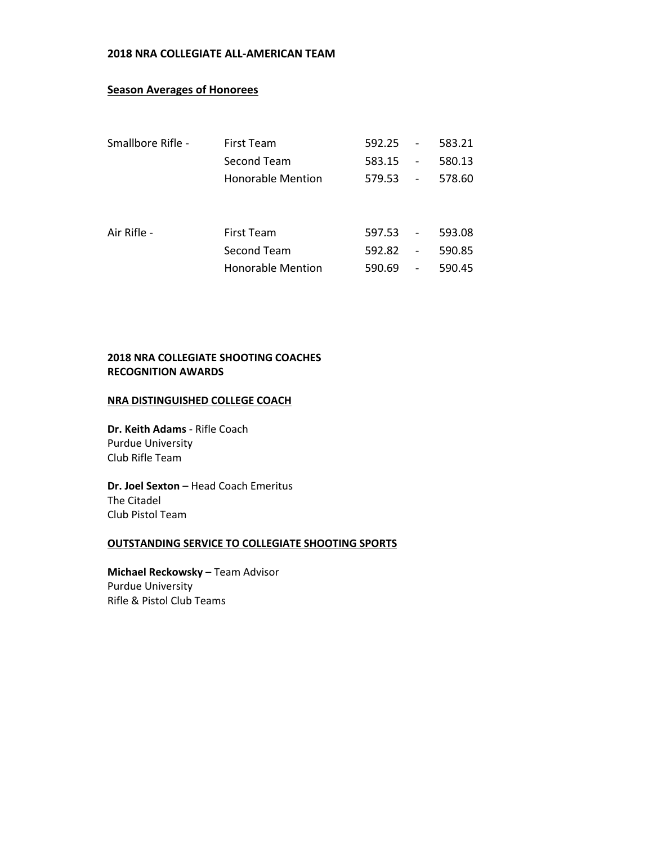#### **2018 NRA COLLEGIATE ALL‐AMERICAN TEAM**

#### **Season Averages of Honorees**

| Smallbore Rifle - | First Team               | 592.25 | $\overline{\phantom{0}}$     | 583.21 |
|-------------------|--------------------------|--------|------------------------------|--------|
|                   | Second Team              | 583.15 | $\overline{\phantom{0}}$     | 580.13 |
|                   | Honorable Mention        | 579.53 | $\overline{\phantom{a}}$     | 578.60 |
|                   |                          |        |                              |        |
|                   |                          |        |                              |        |
| Air Rifle -       | First Team               | 597.53 | $\overline{\phantom{a}}$     | 593.08 |
|                   | Second Team              | 592.82 | $\qquad \qquad \blacksquare$ | 590.85 |
|                   | <b>Honorable Mention</b> | 590.69 | $\overline{\phantom{a}}$     | 590.45 |
|                   |                          |        |                              |        |

#### **2018 NRA COLLEGIATE SHOOTING COACHES RECOGNITION AWARDS**

#### **NRA DISTINGUISHED COLLEGE COACH**

**Dr. Keith Adams** ‐ Rifle Coach Purdue University Club Rifle Team

**Dr. Joel Sexton** – Head Coach Emeritus The Citadel Club Pistol Team

#### **OUTSTANDING SERVICE TO COLLEGIATE SHOOTING SPORTS**

**Michael Reckowsky** – Team Advisor Purdue University Rifle & Pistol Club Teams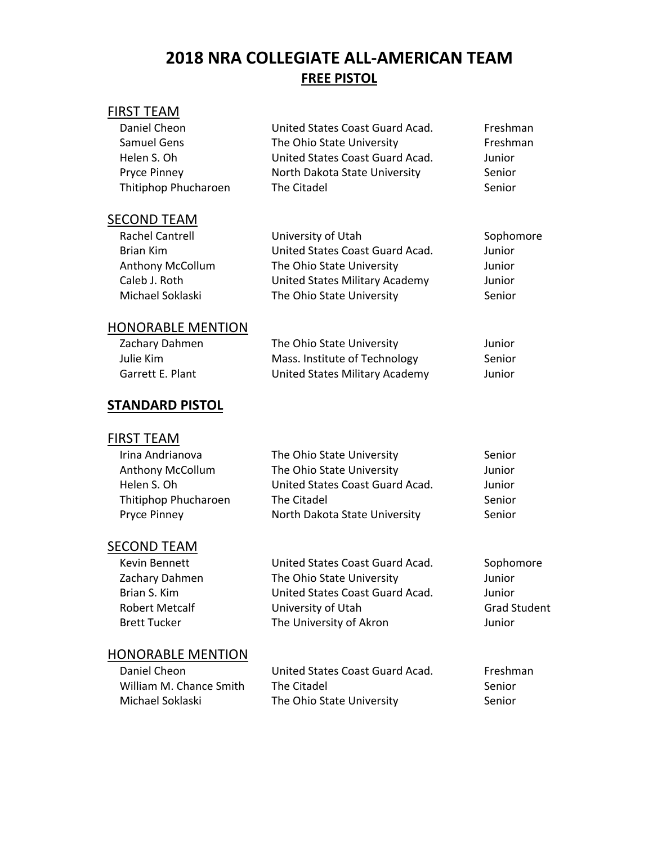# **2018 NRA COLLEGIATE ALL‐AMERICAN TEAM FREE PISTOL**

## FIRST TEAM

| Daniel Cheon         | United States Coast Guard Acad. | Freshman |
|----------------------|---------------------------------|----------|
| <b>Samuel Gens</b>   | The Ohio State University       | Freshman |
| Helen S. Oh          | United States Coast Guard Acad. | Junior   |
| <b>Pryce Pinney</b>  | North Dakota State University   | Senior   |
| Thitiphop Phucharoen | The Citadel                     | Senior   |
|                      |                                 |          |

## **SECOND TEAM**

| <b>Rachel Cantrell</b>  | University of Utah              | Sophomore |
|-------------------------|---------------------------------|-----------|
| Brian Kim               | United States Coast Guard Acad. | Junior    |
| <b>Anthony McCollum</b> | The Ohio State University       | Junior    |
| Caleb J. Roth           | United States Military Academy  | Junior    |
| Michael Soklaski        | The Ohio State University       | Senior    |

#### HONORABLE MENTION

| Zachary Dahmen   | The Ohio State University      | Junior |
|------------------|--------------------------------|--------|
| Julie Kim        | Mass. Institute of Technology  | Senior |
| Garrett E. Plant | United States Military Academy | Junior |

## **STANDARD PISTOL**

## FIRST TEAM

| Irina Andrianova        | The Ohio State University       | Senior |
|-------------------------|---------------------------------|--------|
| <b>Anthony McCollum</b> | The Ohio State University       | Junior |
| Helen S. Oh             | United States Coast Guard Acad. | Junior |
| Thitiphop Phucharoen    | The Citadel                     | Senior |
| <b>Pryce Pinney</b>     | North Dakota State University   | Senior |
|                         |                                 |        |

## SECOND TEAM

| Kevin Bennett         | United States Coast Guard Acad. | Sophomore           |
|-----------------------|---------------------------------|---------------------|
| Zachary Dahmen        | The Ohio State University       | Junior              |
| Brian S. Kim          | United States Coast Guard Acad. | Junior              |
| <b>Robert Metcalf</b> | University of Utah              | <b>Grad Student</b> |
| Brett Tucker          | The University of Akron         | Junior              |

| Daniel Cheon            | United States Coast Guard Acad. | Freshman |
|-------------------------|---------------------------------|----------|
| William M. Chance Smith | The Citadel                     | -Senior  |
| Michael Soklaski        | The Ohio State University       | Senior   |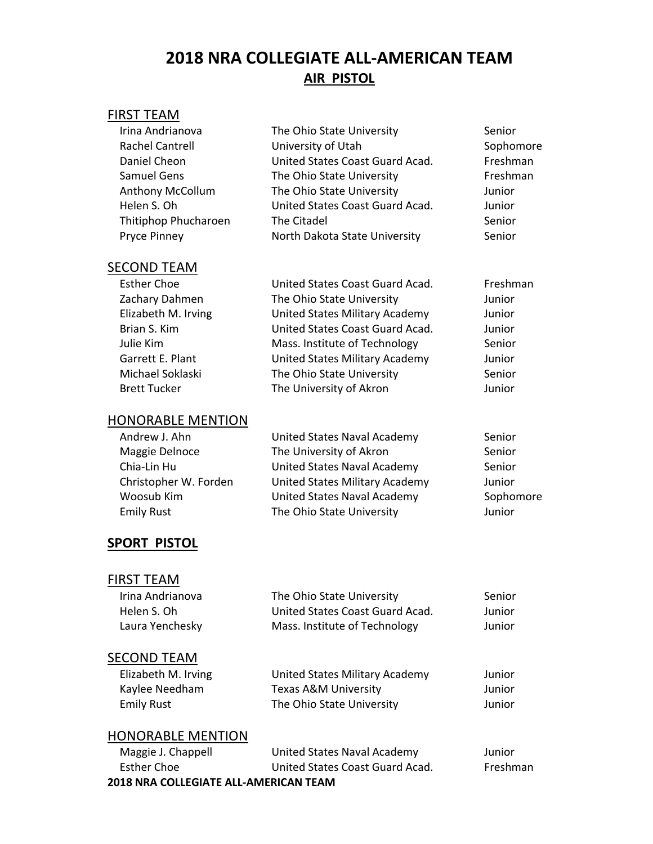# **2018 NRA COLLEGIATE ALL‐AMERICAN TEAM AIR PISTOL**

## FIRST TEAM

| Irina Andrianova        | The Ohio State University       | Senior    |
|-------------------------|---------------------------------|-----------|
| <b>Rachel Cantrell</b>  | University of Utah              | Sophomore |
| Daniel Cheon            | United States Coast Guard Acad. | Freshman  |
| <b>Samuel Gens</b>      | The Ohio State University       | Freshman  |
| <b>Anthony McCollum</b> | The Ohio State University       | Junior    |
| Helen S. Oh             | United States Coast Guard Acad. | Junior    |
| Thitiphop Phucharoen    | The Citadel                     | Senior    |
| <b>Pryce Pinney</b>     | North Dakota State University   | Senior    |
| SECOND TEAM             |                                 |           |
| <b>Esther Choe</b>      | United States Coast Guard Acad. | Freshman  |
| Zachary Dahmen          | The Ohio State University       | Junior    |
| Elizabeth M. Irving     | United States Military Academy  | Junior    |
| Brian S. Kim            | United States Coast Guard Acad. | Junior    |
| Julie Kim               | Mass. Institute of Technology   | Senior    |
| Garrett E. Plant        | United States Military Academy  | Junior    |
| Michael Soklaski        | The Ohio State University       | Senior    |
| <b>Brett Tucker</b>     | The University of Akron         | Junior    |

## HONORABLE MENTION

| Andrew J. Ahn         | United States Naval Academy    | Senior    |
|-----------------------|--------------------------------|-----------|
| Maggie Delnoce        | The University of Akron        | Senior    |
| Chia-Lin Hu           | United States Naval Academy    | Senior    |
| Christopher W. Forden | United States Military Academy | Junior    |
| Woosub Kim            | United States Naval Academy    | Sophomore |
| <b>Emily Rust</b>     | The Ohio State University      | Junior    |
|                       |                                |           |

## **SPORT PISTOL**

### FIRST TEAM

| Irina Andrianova | The Ohio State University       | Senior |
|------------------|---------------------------------|--------|
| Helen S. Oh      | United States Coast Guard Acad. | Junior |
| Laura Yenchesky  | Mass. Institute of Technology   | Junior |
|                  |                                 |        |

## **SECOND TEAM**

| Elizabeth M. Irving | United States Military Academy | Junior |
|---------------------|--------------------------------|--------|
| Kaylee Needham      | Texas A&M University           | Junior |
| Emily Rust          | The Ohio State University      | Junior |

| Maggie J. Chappell                           | United States Naval Academy     | Junior   |  |
|----------------------------------------------|---------------------------------|----------|--|
| Esther Choe                                  | United States Coast Guard Acad. | Freshman |  |
| <b>2018 NRA COLLEGIATE ALL-AMERICAN TEAM</b> |                                 |          |  |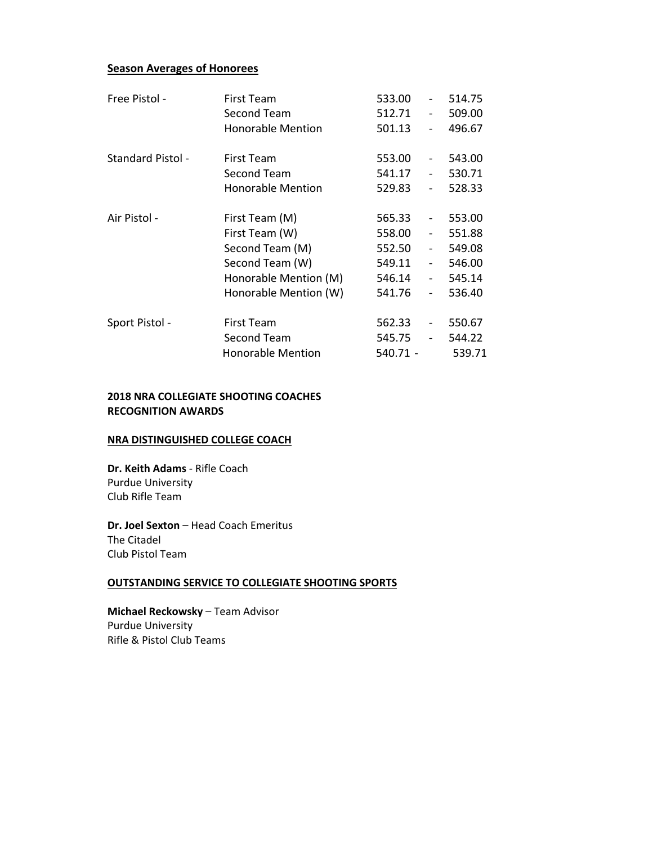#### **Season Averages of Honorees**

| Free Pistol -            | <b>First Team</b>        | 533.00   |                              | 514.75 |
|--------------------------|--------------------------|----------|------------------------------|--------|
|                          | Second Team              | 512.71   | $\overline{\phantom{a}}$     | 509.00 |
|                          | <b>Honorable Mention</b> | 501.13   |                              | 496.67 |
| <b>Standard Pistol -</b> | <b>First Team</b>        | 553.00   | $\qquad \qquad -$            | 543.00 |
|                          | Second Team              | 541.17   | $\overline{\phantom{a}}$     | 530.71 |
|                          | <b>Honorable Mention</b> | 529.83   | $\overline{\phantom{a}}$     | 528.33 |
| Air Pistol -             | First Team (M)           | 565.33   | $\qquad \qquad -$            | 553.00 |
|                          | First Team (W)           | 558.00   | $\qquad \qquad \blacksquare$ | 551.88 |
|                          | Second Team (M)          | 552.50   | $\overline{\phantom{a}}$     | 549.08 |
|                          | Second Team (W)          | 549.11   | $\overline{\phantom{a}}$     | 546.00 |
|                          | Honorable Mention (M)    | 546.14   | $\overline{\phantom{a}}$     | 545.14 |
|                          | Honorable Mention (W)    | 541.76   | $\overline{\phantom{a}}$     | 536.40 |
| Sport Pistol -           | <b>First Team</b>        | 562.33   |                              | 550.67 |
|                          | <b>Second Team</b>       | 545.75   |                              | 544.22 |
|                          | <b>Honorable Mention</b> | 540.71 - |                              | 539.71 |

#### **2018 NRA COLLEGIATE SHOOTING COACHES RECOGNITION AWARDS**

#### **NRA DISTINGUISHED COLLEGE COACH**

**Dr. Keith Adams** ‐ Rifle Coach Purdue University Club Rifle Team

**Dr. Joel Sexton** – Head Coach Emeritus The Citadel Club Pistol Team

#### **OUTSTANDING SERVICE TO COLLEGIATE SHOOTING SPORTS**

**Michael Reckowsky** – Team Advisor Purdue University Rifle & Pistol Club Teams